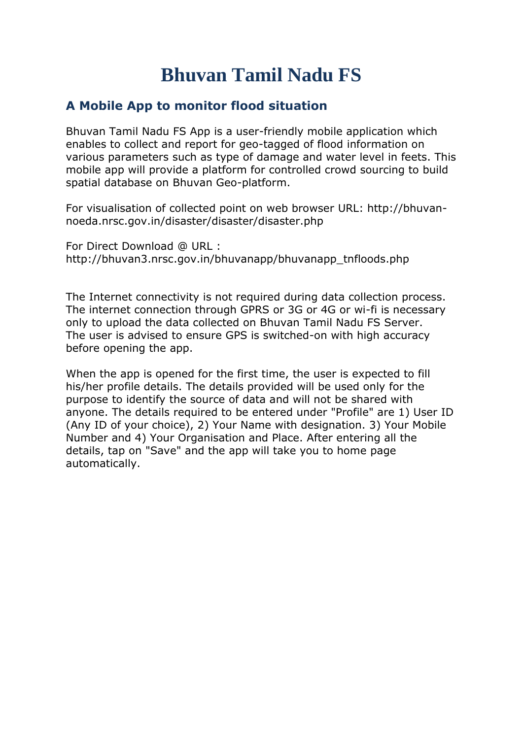## **Bhuvan Tamil Nadu FS**

## **A Mobile App to monitor flood situation**

Bhuvan Tamil Nadu FS App is a user-friendly mobile application which enables to collect and report for geo-tagged of flood information on various parameters such as type of damage and water level in feets. This mobile app will provide a platform for controlled crowd sourcing to build spatial database on Bhuvan Geo-platform.

For visualisation of collected point on web browser URL: http://bhuvannoeda.nrsc.gov.in/disaster/disaster/disaster.php

For Direct Download @ URL : [http://bhuvan3.nrsc.gov.in/bhuvanapp/bhuvanapp\\_tnfloods.php](http://bhuvan3.nrsc.gov.in/bhuvanapp/bhuvanapp_tnfloods.php)

The Internet connectivity is not required during data collection process. The internet connection through GPRS or 3G or 4G or wi-fi is necessary only to upload the data collected on Bhuvan Tamil Nadu FS Server. The user is advised to ensure GPS is switched-on with high accuracy before opening the app.

When the app is opened for the first time, the user is expected to fill his/her profile details. The details provided will be used only for the purpose to identify the source of data and will not be shared with anyone. The details required to be entered under "Profile" are 1) User ID (Any ID of your choice), 2) Your Name with designation. 3) Your Mobile Number and 4) Your Organisation and Place. After entering all the details, tap on "Save" and the app will take you to home page automatically.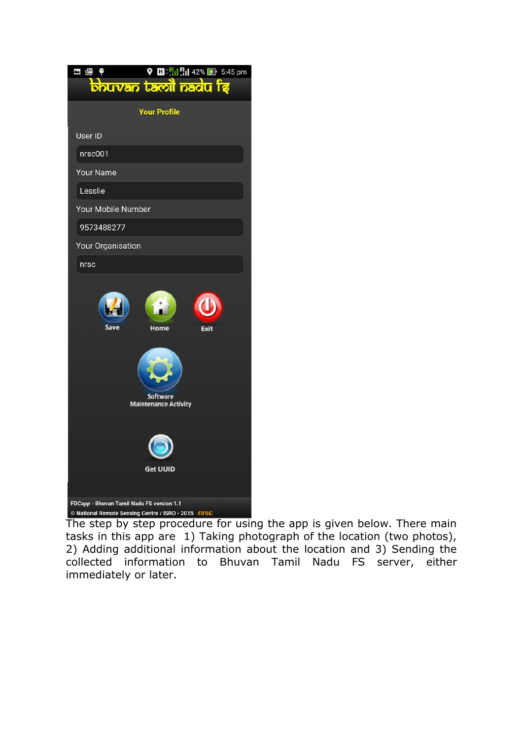| $\bigcirc$ <b>El</b> $\frac{n}{2}$    $\frac{n}{2}$    42% <b>2</b> 5:45 pm<br>$\bullet$<br>$\mathbb{Z}$<br>۲<br><b>bhuvan tacoil nadu te</b> |
|-----------------------------------------------------------------------------------------------------------------------------------------------|
| <b>Your Profile</b>                                                                                                                           |
| User ID                                                                                                                                       |
| nrsc001                                                                                                                                       |
| <b>Your Name</b>                                                                                                                              |
| Lesslie                                                                                                                                       |
| Your Mobile Number                                                                                                                            |
| 9573488277                                                                                                                                    |
| Your Organisation                                                                                                                             |
| nrsc                                                                                                                                          |
| Save<br>Exit<br>Home                                                                                                                          |
| <b>Software</b><br><b>Maintenance Activity</b>                                                                                                |
| <b>Get UUID</b>                                                                                                                               |
| FDCapp - Bhuvan Tamil Nadu FS version 1.1<br>© National Remote Sensing Centre / ISRO - 2015 nrsc                                              |

The step by step procedure for using the app is given below. There main tasks in this app are 1) Taking photograph of the location (two photos), 2) Adding additional information about the location and 3) Sending the collected information to Bhuvan Tamil Nadu FS server, either immediately or later.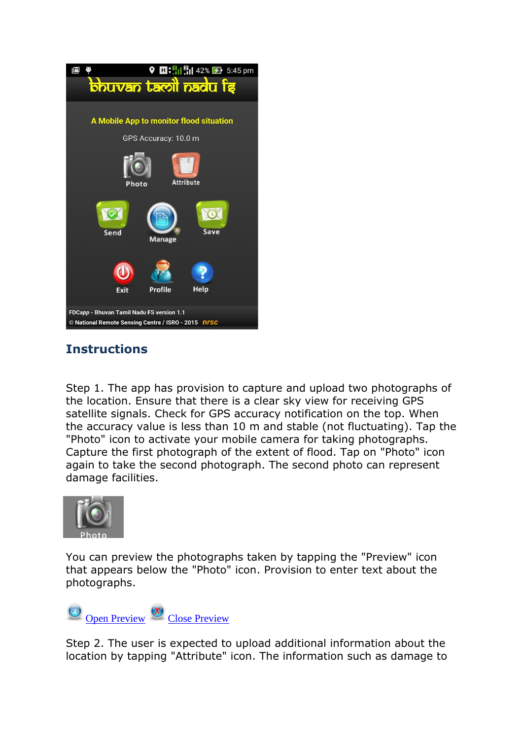

## **Instructions**

Step 1. The app has provision to capture and upload two photographs of the location. Ensure that there is a clear sky view for receiving GPS satellite signals. Check for GPS accuracy notification on the top. When the accuracy value is less than 10 m and stable (not fluctuating). Tap the "Photo" icon to activate your mobile camera for taking photographs. Capture the first photograph of the extent of flood. Tap on "Photo" icon again to take the second photograph. The second photo can represent damage facilities.



You can preview the photographs taken by tapping the "Preview" icon that appears below the "Photo" icon. Provision to enter text about the photographs.

Open Preview  $\frac{X}{x}$  Close Preview

Step 2. The user is expected to upload additional information about the location by tapping "Attribute" icon. The information such as damage to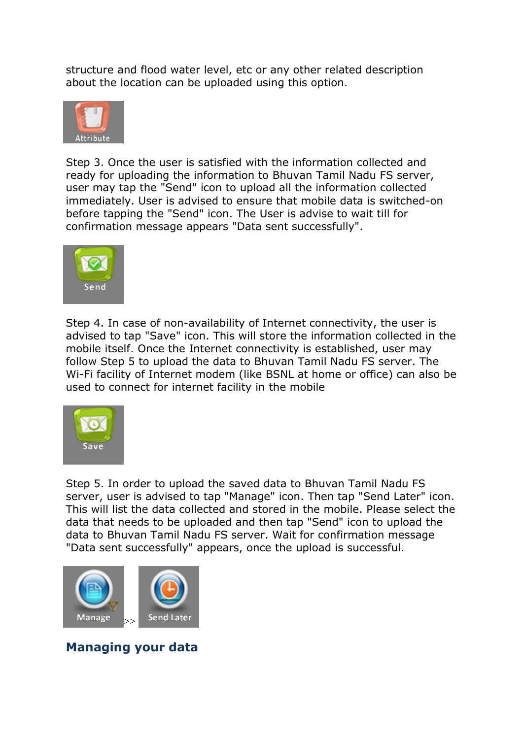structure and flood water level, etc or any other related description about the location can be uploaded using this option.



Step 3. Once the user is satisfied with the information collected and ready for uploading the information to Bhuvan Tamil Nadu FS server, user may tap the "Send" icon to upload all the information collected immediately. User is advised to ensure that mobile data is switched-on before tapping the "Send" icon. The User is advise to wait till for confirmation message appears "Data sent successfully".



Step 4. In case of non-availability of Internet connectivity, the user is advised to tap "Save" icon. This will store the information collected in the mobile itself. Once the Internet connectivity is established, user may follow Step 5 to upload the data to Bhuvan Tamil Nadu FS server. The Wi-Fi facility of Internet modem (like BSNL at home or office) can also be used to connect for internet facility in the mobile



Step 5. In order to upload the saved data to Bhuvan Tamil Nadu FS server, user is advised to tap "Manage" icon. Then tap "Send Later" icon. This will list the data collected and stored in the mobile. Please select the data that needs to be uploaded and then tap "Send" icon to upload the data to Bhuvan Tamil Nadu FS server. Wait for confirmation message "Data sent successfully" appears, once the upload is successful.



**Managing your data**